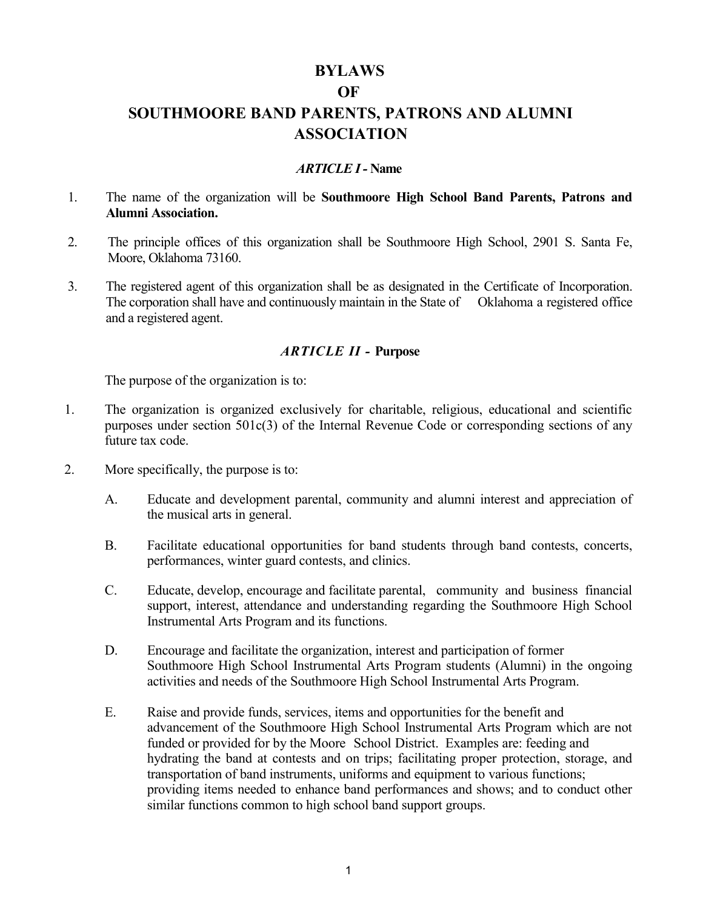## **BYLAWS**

#### **OF**

# **SOUTHMOORE BAND PARENTS, PATRONS AND ALUMNI ASSOCIATION**

### *ARTICLE I-* **Name**

- 1. The name of the organization will be **Southmoore High School Band Parents, Patrons and Alumni Association.**
- 2. The principle offices of this organization shall be Southmoore High School, 2901 S. Santa Fe, Moore, Oklahoma 73160.
- 3. The registered agent of this organization shall be as designated in the Certificate of Incorporation. The corporation shall have and continuously maintain in the State of Oklahoma a registered office and a registered agent.

### *ARTICLE II -* **Purpose**

The purpose of the organization is to:

- 1. The organization is organized exclusively for charitable, religious, educational and scientific purposes under section 501c(3) of the Internal Revenue Code or corresponding sections of any future tax code.
- 2. More specifically, the purpose is to:
	- A. Educate and development parental, community and alumni interest and appreciation of the musical arts in general.
	- B. Facilitate educational opportunities for band students through band contests, concerts, performances, winter guard contests, and clinics.
	- C. Educate, develop, encourage and facilitate parental, community and business financial support, interest, attendance and understanding regarding the Southmoore High School Instrumental Arts Program and its functions.
	- D. Encourage and facilitate the organization, interest and participation of former Southmoore High School Instrumental Arts Program students (Alumni) in the ongoing activities and needs of the Southmoore High School Instrumental Arts Program.
	- E. Raise and provide funds, services, items and opportunities for the benefit and advancement of the Southmoore High School Instrumental Arts Program which are not funded or provided for by the Moore School District. Examples are: feeding and hydrating the band at contests and on trips; facilitating proper protection, storage, and transportation of band instruments, uniforms and equipment to various functions; providing items needed to enhance band performances and shows; and to conduct other similar functions common to high school band support groups.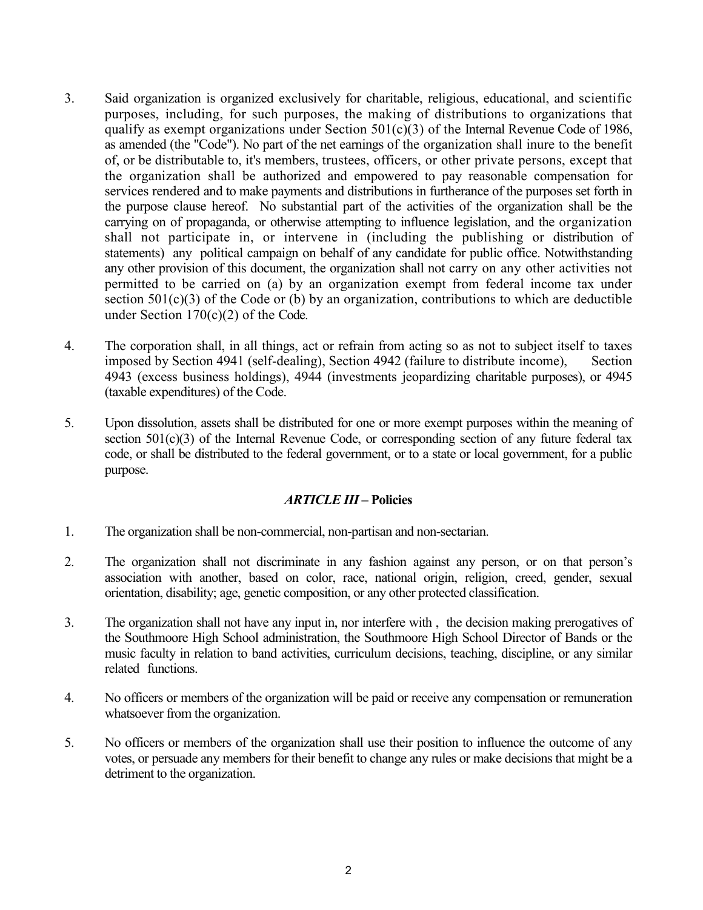- 3. Said organization is organized exclusively for charitable, religious, educational, and scientific purposes, including, for such purposes, the making of distributions to organizations that qualify as exempt organizations under Section  $501(c)(3)$  of the Internal Revenue Code of 1986, as amended (the "Code"). No part of the net earnings of the organization shall inure to the benefit of, or be distributable to, it's members, trustees, officers, or other private persons, except that the organization shall be authorized and empowered to pay reasonable compensation for services rendered and to make payments and distributions in furtherance of the purposes set forth in the purpose clause hereof. No substantial part of the activities of the organization shall be the carrying on of propaganda, or otherwise attempting to influence legislation, and the organization shall not participate in, or intervene in (including the publishing or distribution of statements) any political campaign on behalf of any candidate for public office. Notwithstanding any other provision of this document, the organization shall not carry on any other activities not permitted to be carried on (a) by an organization exempt from federal income tax under section  $501(c)(3)$  of the Code or (b) by an organization, contributions to which are deductible under Section 170(c)(2) of the Code.
- 4. The corporation shall, in all things, act or refrain from acting so as not to subject itself to taxes imposed by Section 4941 (self-dealing), Section 4942 (failure to distribute income), Section 4943 (excess business holdings), 4944 (investments jeopardizing charitable purposes), or 4945 (taxable expenditures) of the Code.
- 5. Upon dissolution, assets shall be distributed for one or more exempt purposes within the meaning of section 501(c)(3) of the Internal Revenue Code, or corresponding section of any future federal tax code, or shall be distributed to the federal government, or to a state or local government, for a public purpose.

### *ARTICLE III* **– Policies**

- 1. The organization shall be non-commercial, non-partisan and non-sectarian.
- 2. The organization shall not discriminate in any fashion against any person, or on that person's association with another, based on color, race, national origin, religion, creed, gender, sexual orientation, disability; age, genetic composition, or any other protected classification.
- 3. The organization shall not have any input in, nor interfere with , the decision making prerogatives of the Southmoore High School administration, the Southmoore High School Director of Bands or the music faculty in relation to band activities, curriculum decisions, teaching, discipline, or any similar related functions.
- 4. No officers or members of the organization will be paid or receive any compensation or remuneration whatsoever from the organization.
- 5. No officers or members of the organization shall use their position to influence the outcome of any votes, or persuade any members for their benefit to change any rules or make decisions that might be a detriment to the organization.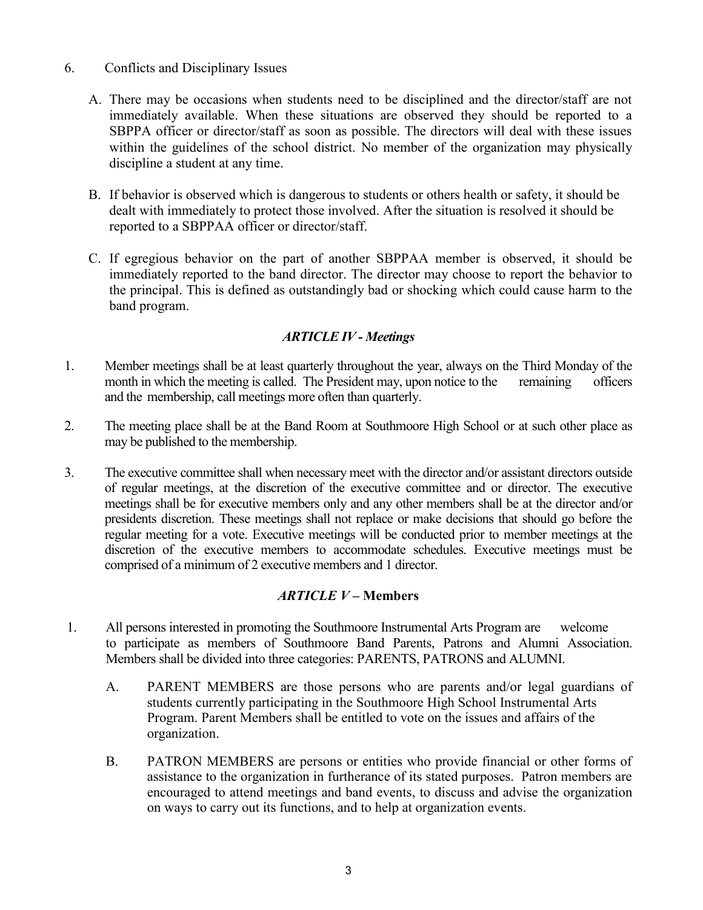- 6. Conflicts and Disciplinary Issues
	- A. There may be occasions when students need to be disciplined and the director/staff are not immediately available. When these situations are observed they should be reported to a SBPPA officer or director/staff as soon as possible. The directors will deal with these issues within the guidelines of the school district. No member of the organization may physically discipline a student at any time.
	- B. If behavior is observed which is dangerous to students or others health or safety, it should be dealt with immediately to protect those involved. After the situation is resolved it should be reported to a SBPPAA officer or director/staff.
	- C. If egregious behavior on the part of another SBPPAA member is observed, it should be immediately reported to the band director. The director may choose to report the behavior to the principal. This is defined as outstandingly bad or shocking which could cause harm to the band program.

## *ARTICLE IV - Meetings*

- 1. Member meetings shall be at least quarterly throughout the year, always on the Third Monday of the month in which the meeting is called. The President may, upon notice to the remaining officers and the membership, call meetings more often than quarterly.
- 2. The meeting place shall be at the Band Room at Southmoore High School or at such other place as may be published to the membership.
- 3. The executive committee shall when necessary meet with the director and/or assistant directors outside of regular meetings, at the discretion of the executive committee and or director. The executive meetings shall be for executive members only and any other members shall be at the director and/or presidents discretion. These meetings shall not replace or make decisions that should go before the regular meeting for a vote. Executive meetings will be conducted prior to member meetings at the discretion of the executive members to accommodate schedules. Executive meetings must be comprised of a minimum of 2 executive members and 1 director.

## *ARTICLE V* **– Members**

- 1. All persons interested in promoting the Southmoore Instrumental Arts Program are welcome to participate as members of Southmoore Band Parents, Patrons and Alumni Association. Members shall be divided into three categories: PARENTS, PATRONS and ALUMNI.
	- A. PARENT MEMBERS are those persons who are parents and/or legal guardians of students currently participating in the Southmoore High School Instrumental Arts Program. Parent Members shall be entitled to vote on the issues and affairs of the organization.
	- B. PATRON MEMBERS are persons or entities who provide financial or other forms of assistance to the organization in furtherance of its stated purposes. Patron members are encouraged to attend meetings and band events, to discuss and advise the organization on ways to carry out its functions, and to help at organization events.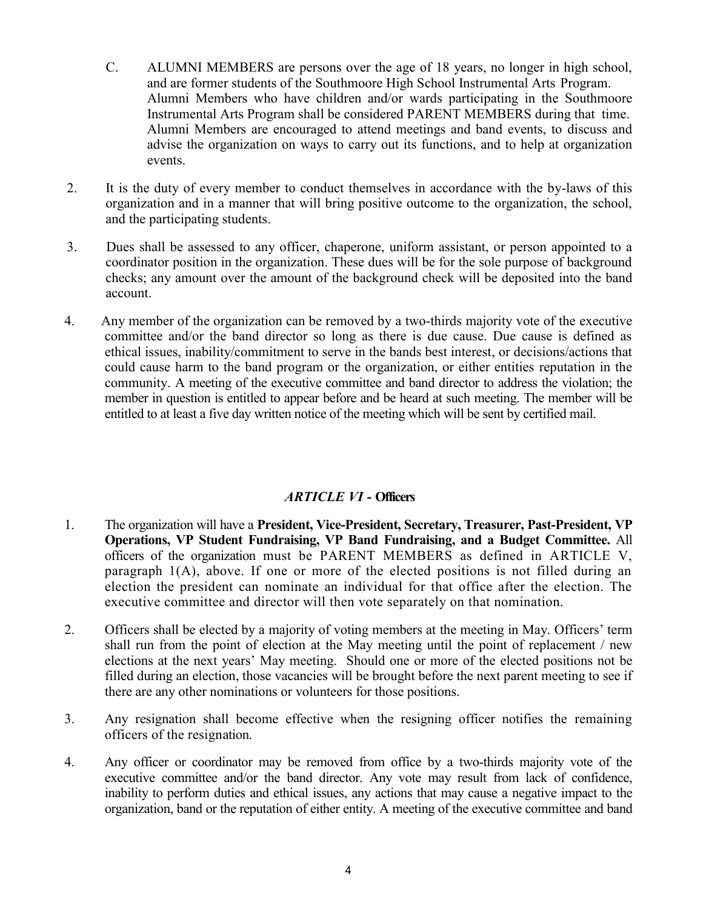- C. ALUMNI MEMBERS are persons over the age of 18 years, no longer in high school, and are former students of the Southmoore High School Instrumental Arts Program. Alumni Members who have children and/or wards participating in the Southmoore Instrumental Arts Program shall be considered PARENT MEMBERS during that time. Alumni Members are encouraged to attend meetings and band events, to discuss and advise the organization on ways to carry out its functions, and to help at organization events.
- 2. It is the duty of every member to conduct themselves in accordance with the by-laws of this organization and in a manner that will bring positive outcome to the organization, the school, and the participating students.
- 3. Dues shall be assessed to any officer, chaperone, uniform assistant, or person appointed to a coordinator position in the organization. These dues will be for the sole purpose of background checks; any amount over the amount of the background check will be deposited into the band account.
- 4. Any member of the organization can be removed by a two-thirds majority vote of the executive committee and/or the band director so long as there is due cause. Due cause is defined as ethical issues, inability/commitment to serve in the bands best interest, or decisions/actions that could cause harm to the band program or the organization, or either entities reputation in the community. A meeting of the executive committee and band director to address the violation; the member in question is entitled to appear before and be heard at such meeting. The member will be entitled to at least a five day written notice of the meeting which will be sent by certified mail.

## *ARTICLE VI* **- Officers**

- 1. The organization will have a **President, Vice-President, Secretary, Treasurer, Past-President, VP Operations, VP Student Fundraising, VP Band Fundraising, and a Budget Committee.** All officers of the organization must be PARENT MEMBERS as defined in ARTICLE V, paragraph 1(A), above. If one or more of the elected positions is not filled during an election the president can nominate an individual for that office after the election. The executive committee and director will then vote separately on that nomination.
- 2. Officers shall be elected by a majority of voting members at the meeting in May. Officers' term shall run from the point of election at the May meeting until the point of replacement / new elections at the next years' May meeting. Should one or more of the elected positions not be filled during an election, those vacancies will be brought before the next parent meeting to see if there are any other nominations or volunteers for those positions.
- 3. Any resignation shall become effective when the resigning officer notifies the remaining officers of the resignation.
- 4. Any officer or coordinator may be removed from office by a two-thirds majority vote of the executive committee and/or the band director. Any vote may result from lack of confidence, inability to perform duties and ethical issues, any actions that may cause a negative impact to the organization, band or the reputation of either entity. A meeting of the executive committee and band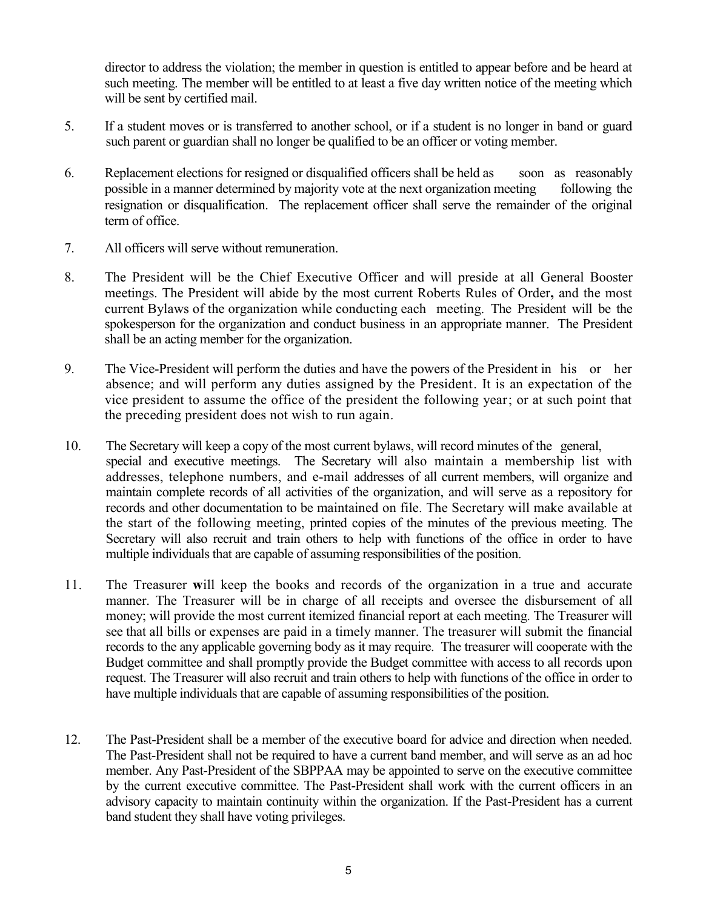director to address the violation; the member in question is entitled to appear before and be heard at such meeting. The member will be entitled to at least a five day written notice of the meeting which will be sent by certified mail.

- 5. If a student moves or is transferred to another school, or if a student is no longer in band or guard such parent or guardian shall no longer be qualified to be an officer or voting member.
- 6. Replacement elections for resigned or disqualified officers shall be held as soon as reasonably possible in a manner determined by majority vote at the next organization meeting following the resignation or disqualification. The replacement officer shall serve the remainder of the original term of office.
- 7. All officers will serve without remuneration.
- 8. The President will be the Chief Executive Officer and will preside at all General Booster meetings. The President will abide by the most current Roberts Rules of Order**,** and the most current Bylaws of the organization while conducting each meeting. The President will be the spokesperson for the organization and conduct business in an appropriate manner. The President shall be an acting member for the organization.
- 9. The Vice-President will perform the duties and have the powers of the President in his or her absence; and will perform any duties assigned by the President. It is an expectation of the vice president to assume the office of the president the following year; or at such point that the preceding president does not wish to run again.
- 10. The Secretary will keep a copy of the most current bylaws, will record minutes of the general, special and executive meetings. The Secretary will also maintain a membership list with addresses, telephone numbers, and e-mail addresses of all current members, will organize and maintain complete records of all activities of the organization, and will serve as a repository for records and other documentation to be maintained on file. The Secretary will make available at the start of the following meeting, printed copies of the minutes of the previous meeting. The Secretary will also recruit and train others to help with functions of the office in order to have multiple individuals that are capable of assuming responsibilities of the position.
- 11. The Treasurer **w**ill keep the books and records of the organization in a true and accurate manner. The Treasurer will be in charge of all receipts and oversee the disbursement of all money; will provide the most current itemized financial report at each meeting. The Treasurer will see that all bills or expenses are paid in a timely manner. The treasurer will submit the financial records to the any applicable governing body as it may require. The treasurer will cooperate with the Budget committee and shall promptly provide the Budget committee with access to all records upon request. The Treasurer will also recruit and train others to help with functions of the office in order to have multiple individuals that are capable of assuming responsibilities of the position.
- 12. The Past-President shall be a member of the executive board for advice and direction when needed. The Past-President shall not be required to have a current band member, and will serve as an ad hoc member. Any Past-President of the SBPPAA may be appointed to serve on the executive committee by the current executive committee. The Past-President shall work with the current officers in an advisory capacity to maintain continuity within the organization. If the Past-President has a current band student they shall have voting privileges.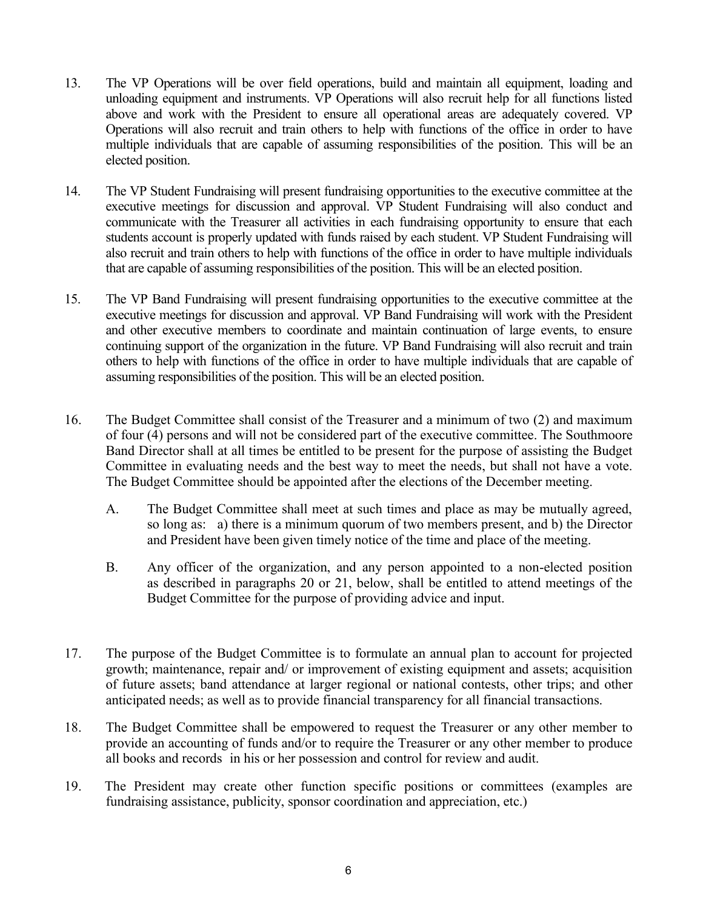- 13. The VP Operations will be over field operations, build and maintain all equipment, loading and unloading equipment and instruments. VP Operations will also recruit help for all functions listed above and work with the President to ensure all operational areas are adequately covered. VP Operations will also recruit and train others to help with functions of the office in order to have multiple individuals that are capable of assuming responsibilities of the position. This will be an elected position.
- 14. The VP Student Fundraising will present fundraising opportunities to the executive committee at the executive meetings for discussion and approval. VP Student Fundraising will also conduct and communicate with the Treasurer all activities in each fundraising opportunity to ensure that each students account is properly updated with funds raised by each student. VP Student Fundraising will also recruit and train others to help with functions of the office in order to have multiple individuals that are capable of assuming responsibilities of the position. This will be an elected position.
- 15. The VP Band Fundraising will present fundraising opportunities to the executive committee at the executive meetings for discussion and approval. VP Band Fundraising will work with the President and other executive members to coordinate and maintain continuation of large events, to ensure continuing support of the organization in the future. VP Band Fundraising will also recruit and train others to help with functions of the office in order to have multiple individuals that are capable of assuming responsibilities of the position. This will be an elected position.
- 16. The Budget Committee shall consist of the Treasurer and a minimum of two (2) and maximum of four (4) persons and will not be considered part of the executive committee. The Southmoore Band Director shall at all times be entitled to be present for the purpose of assisting the Budget Committee in evaluating needs and the best way to meet the needs, but shall not have a vote. The Budget Committee should be appointed after the elections of the December meeting.
	- A. The Budget Committee shall meet at such times and place as may be mutually agreed, so long as: a) there is a minimum quorum of two members present, and b) the Director and President have been given timely notice of the time and place of the meeting.
	- B. Any officer of the organization, and any person appointed to a non-elected position as described in paragraphs 20 or 21, below, shall be entitled to attend meetings of the Budget Committee for the purpose of providing advice and input.
- 17. The purpose of the Budget Committee is to formulate an annual plan to account for projected growth; maintenance, repair and/ or improvement of existing equipment and assets; acquisition of future assets; band attendance at larger regional or national contests, other trips; and other anticipated needs; as well as to provide financial transparency for all financial transactions.
- 18. The Budget Committee shall be empowered to request the Treasurer or any other member to provide an accounting of funds and/or to require the Treasurer or any other member to produce all books and records in his or her possession and control for review and audit.
- 19. The President may create other function specific positions or committees (examples are fundraising assistance, publicity, sponsor coordination and appreciation, etc.)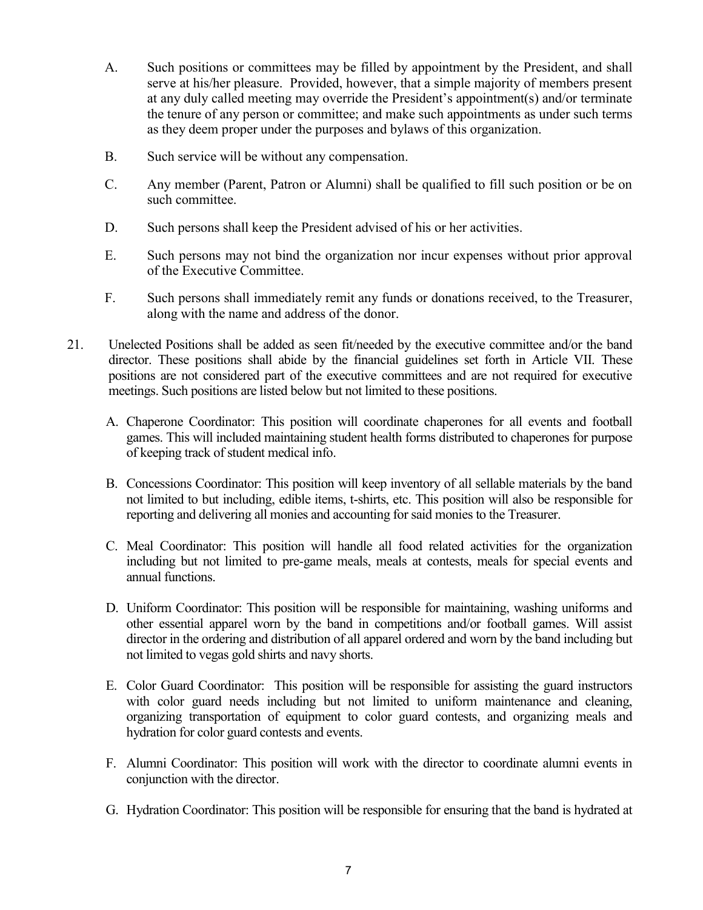- A. Such positions or committees may be filled by appointment by the President, and shall serve at his/her pleasure. Provided, however, that a simple majority of members present at any duly called meeting may override the President's appointment(s) and/or terminate the tenure of any person or committee; and make such appointments as under such terms as they deem proper under the purposes and bylaws of this organization.
- B. Such service will be without any compensation.
- C. Any member (Parent, Patron or Alumni) shall be qualified to fill such position or be on such committee.
- D. Such persons shall keep the President advised of his or her activities.
- E. Such persons may not bind the organization nor incur expenses without prior approval of the Executive Committee.
- F. Such persons shall immediately remit any funds or donations received, to the Treasurer, along with the name and address of the donor.
- 21. Unelected Positions shall be added as seen fit/needed by the executive committee and/or the band director. These positions shall abide by the financial guidelines set forth in Article VII. These positions are not considered part of the executive committees and are not required for executive meetings. Such positions are listed below but not limited to these positions.
	- A. Chaperone Coordinator: This position will coordinate chaperones for all events and football games. This will included maintaining student health forms distributed to chaperones for purpose of keeping track of student medical info.
	- B. Concessions Coordinator: This position will keep inventory of all sellable materials by the band not limited to but including, edible items, t-shirts, etc. This position will also be responsible for reporting and delivering all monies and accounting for said monies to the Treasurer.
	- C. Meal Coordinator: This position will handle all food related activities for the organization including but not limited to pre-game meals, meals at contests, meals for special events and annual functions.
	- D. Uniform Coordinator: This position will be responsible for maintaining, washing uniforms and other essential apparel worn by the band in competitions and/or football games. Will assist director in the ordering and distribution of all apparel ordered and worn by the band including but not limited to vegas gold shirts and navy shorts.
	- E. Color Guard Coordinator: This position will be responsible for assisting the guard instructors with color guard needs including but not limited to uniform maintenance and cleaning, organizing transportation of equipment to color guard contests, and organizing meals and hydration for color guard contests and events.
	- F. Alumni Coordinator: This position will work with the director to coordinate alumni events in conjunction with the director.
	- G. Hydration Coordinator: This position will be responsible for ensuring that the band is hydrated at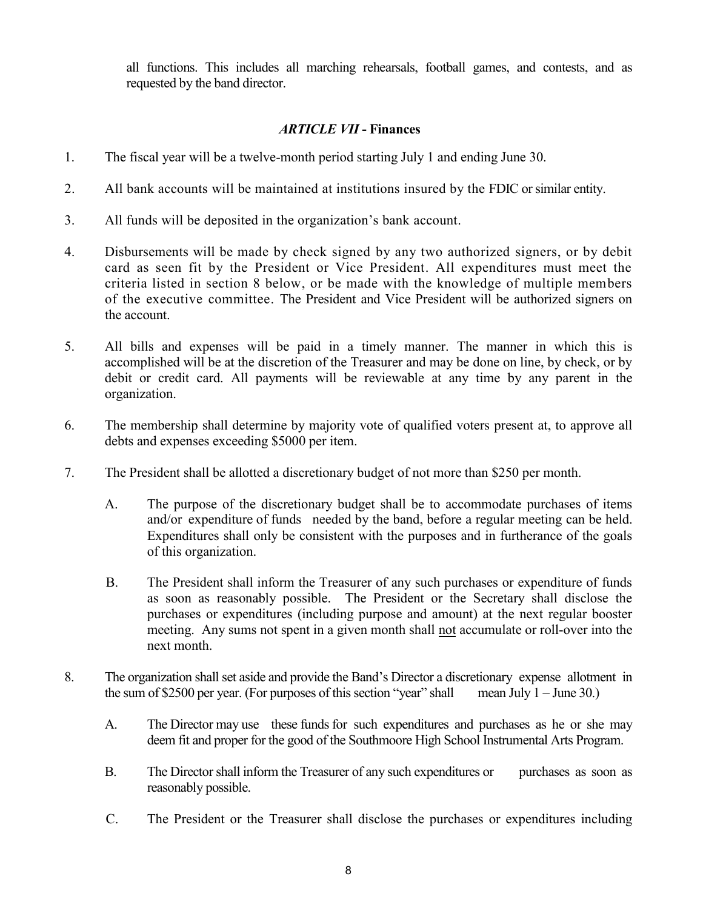all functions. This includes all marching rehearsals, football games, and contests, and as requested by the band director.

## *ARTICLE VII* **- Finances**

- 1. The fiscal year will be a twelve-month period starting July 1 and ending June 30.
- 2. All bank accounts will be maintained at institutions insured by the FDIC or similar entity.
- 3. All funds will be deposited in the organization's bank account.
- 4. Disbursements will be made by check signed by any two authorized signers, or by debit card as seen fit by the President or Vice President. All expenditures must meet the criteria listed in section 8 below, or be made with the knowledge of multiple members of the executive committee. The President and Vice President will be authorized signers on the account.
- 5. All bills and expenses will be paid in a timely manner. The manner in which this is accomplished will be at the discretion of the Treasurer and may be done on line, by check, or by debit or credit card. All payments will be reviewable at any time by any parent in the organization.
- 6. The membership shall determine by majority vote of qualified voters present at, to approve all debts and expenses exceeding \$5000 per item.
- 7. The President shall be allotted a discretionary budget of not more than \$250 per month.
	- A. The purpose of the discretionary budget shall be to accommodate purchases of items and/or expenditure of funds needed by the band, before a regular meeting can be held. Expenditures shall only be consistent with the purposes and in furtherance of the goals of this organization.
	- B. The President shall inform the Treasurer of any such purchases or expenditure of funds as soon as reasonably possible. The President or the Secretary shall disclose the purchases or expenditures (including purpose and amount) at the next regular booster meeting. Any sums not spent in a given month shall not accumulate or roll-over into the next month.
- 8. The organization shall set aside and provide the Band's Director a discretionary expense allotment in the sum of \$2500 per year. (For purposes of this section "year" shall mean July  $1 -$  June 30.)
	- A. The Director may use these funds for such expenditures and purchases as he or she may deem fit and proper for the good of the Southmoore High School Instrumental Arts Program.
	- B. The Director shall inform the Treasurer of any such expenditures or purchases as soon as reasonably possible.
	- C. The President or the Treasurer shall disclose the purchases or expenditures including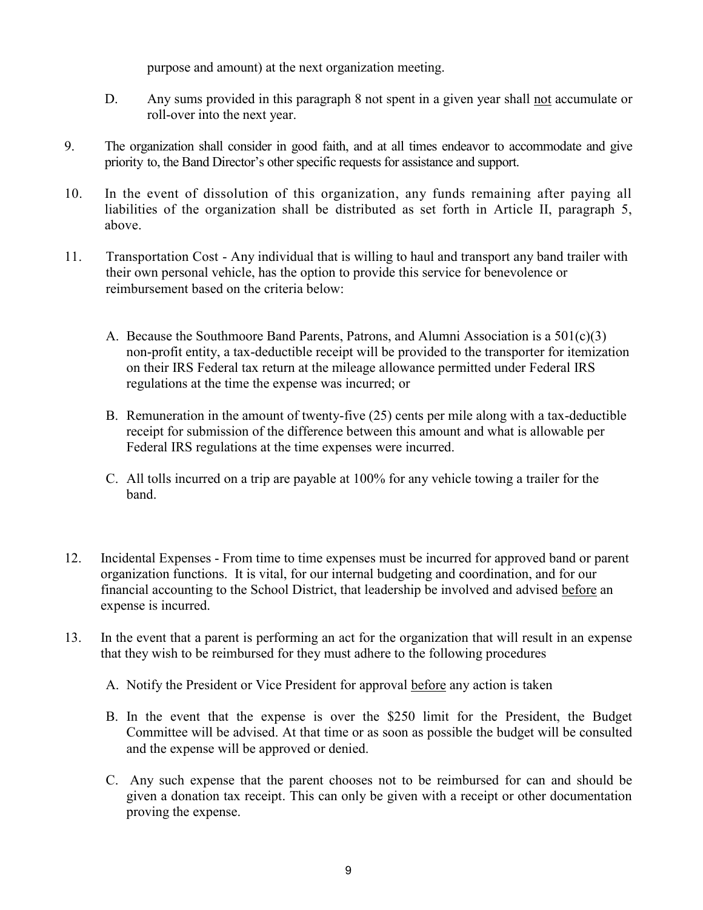purpose and amount) at the next organization meeting.

- D. Any sums provided in this paragraph 8 not spent in a given year shall not accumulate or roll-over into the next year.
- 9. The organization shall consider in good faith, and at all times endeavor to accommodate and give priority to, the Band Director's other specific requests for assistance and support.
- 10. In the event of dissolution of this organization, any funds remaining after paying all liabilities of the organization shall be distributed as set forth in Article II, paragraph 5, above.
- 11. Transportation Cost Any individual that is willing to haul and transport any band trailer with their own personal vehicle, has the option to provide this service for benevolence or reimbursement based on the criteria below:
	- A. Because the Southmoore Band Parents, Patrons, and Alumni Association is a  $501(c)(3)$ non-profit entity, a tax-deductible receipt will be provided to the transporter for itemization on their IRS Federal tax return at the mileage allowance permitted under Federal IRS regulations at the time the expense was incurred; or
	- B. Remuneration in the amount of twenty-five (25) cents per mile along with a tax-deductible receipt for submission of the difference between this amount and what is allowable per Federal IRS regulations at the time expenses were incurred.
	- C. All tolls incurred on a trip are payable at 100% for any vehicle towing a trailer for the band.
- 12. Incidental Expenses From time to time expenses must be incurred for approved band or parent organization functions. It is vital, for our internal budgeting and coordination, and for our financial accounting to the School District, that leadership be involved and advised before an expense is incurred.
- 13. In the event that a parent is performing an act for the organization that will result in an expense that they wish to be reimbursed for they must adhere to the following procedures
	- A. Notify the President or Vice President for approval before any action is taken
	- B. In the event that the expense is over the \$250 limit for the President, the Budget Committee will be advised. At that time or as soon as possible the budget will be consulted and the expense will be approved or denied.
	- C. Any such expense that the parent chooses not to be reimbursed for can and should be given a donation tax receipt. This can only be given with a receipt or other documentation proving the expense.